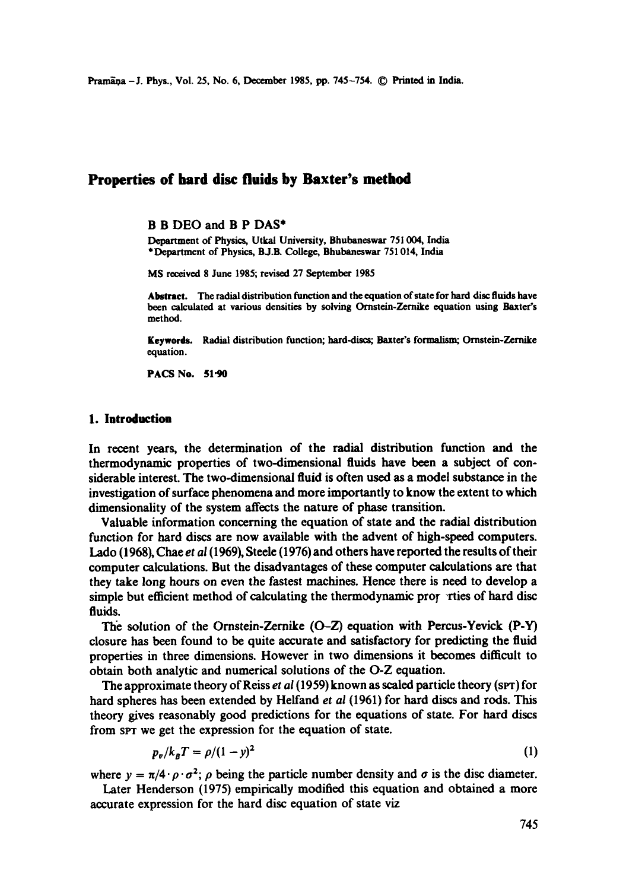# **Properties of hard disc fluids by Baxter's method**

#### B B DEO and B P DAS\*

Department of Physics, Utkal University, Bhubaneswar 751004, India \*Department of Physics, BJ.B. College, Bhubaneswar 751 014, India

MS received 8 June 1985; revised 27 September 1985

Abstract. The radial distribution function and the equation of state for hard disc fluids have been calculated at various densities by solving Ornstein-Zernike equation using Baxter's method.

Keywords. Radial distribution function; hard-discs; Baxter's formalism; Ornstein-Zernike equation.

**PACS No. 51"90** 

#### **1. Introduction**

In recent years, the determination of the radial distribution function and the thermodynamic properties of two-dimensional fluids have been a subject of considerable interest. The two-dimensional fluid is often used as a model substance in the investigation of surface phenomena and more importantly to know the extent to which dimensionality of the system affects the nature of phase transition.

Valuable information concerning the equation of state and the radial distribution function for hard discs are now available with the advent of high-speed computers. Lade (1968), Chae *et al* (1969), Steele (1976) and others have reported the results of their computer calculations. But the disadvantages of these computer calculations are that they take long hours on even the fastest machines. Hence there is need to develop a simple but efficient method of calculating the thermodynamic properties of hard disc fluids.

The solution of the Ornstein-Zernike  $(O-Z)$  equation with Percus-Yevick  $(P-Y)$ closure has been found to be quite accurate and satisfactory for predicting the fluid properties in three dimensions. However in two dimensions it becomes difficult to obtain both analytic and numerical solutions of the O-Z equation.

The approximate theory of Reiss *et al* (1959) known as scaled particle theory (SPT) for hard spheres has been extended by Helfand *et al* (1961) for hard discs and rods. This theory gives reasonably good predictions for the equations of state. For hard discs from SPT we get the expression for the equation of state.

$$
p_v/k_BT = \rho/(1-y)^2 \tag{1}
$$

where  $y = \pi/4 \cdot \rho \cdot \sigma^2$ ;  $\rho$  being the particle number density and  $\sigma$  is the disc diameter.

Later Henderson (1975) empirically modified this equation and obtained a more accurate expression for the hard disc equation of state viz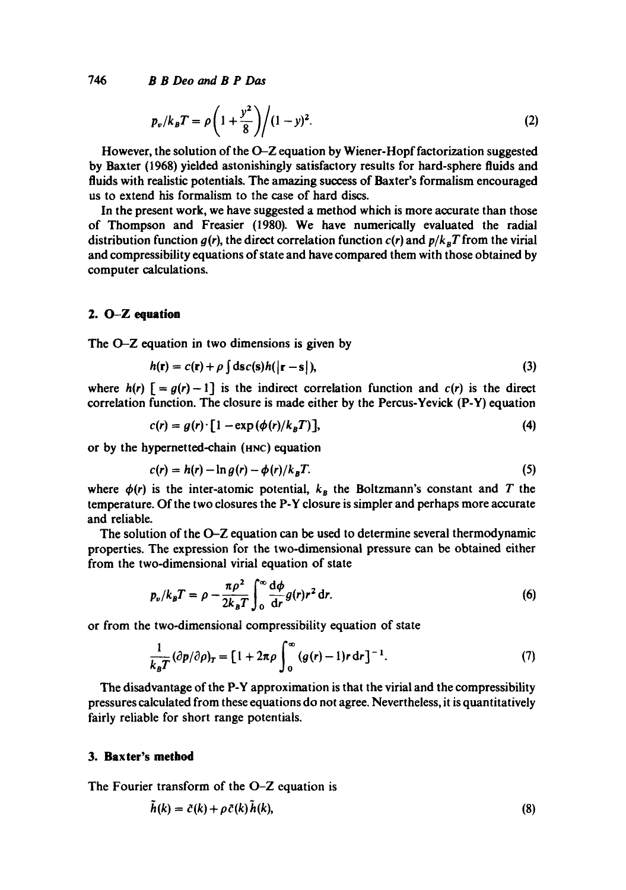*746 B B Deo and B P Das* 

$$
p_v/k_B T = \rho \left(1 + \frac{y^2}{8}\right) / (1 - y)^2.
$$
 (2)

However, the solution of the O-Z equation by Wiener-Hopf factorization suggested by Baxter (1968) yielded astonishingly satisfactory results for hard-sphere fluids and fluids with realistic potentials. The amazing success of Baxter's formalism encouraged us to extend his formalism to the case of hard discs.

In the present work, we have suggested a method which is more accurate than those of Thompson and Freasier (1980). We have numerically evaluated the radial distribution function  $g(r)$ , the direct correlation function  $c(r)$  and  $p/k_BT$  from the virial and compressibility equations of state and have compared them with those obtained by computer calculations.

## **2. O-Z equation**

The O-Z equation in two dimensions is given by

$$
h(\mathbf{r}) = c(\mathbf{r}) + \rho \int \mathrm{d}\mathbf{s} c(\mathbf{s}) h(|\mathbf{r} - \mathbf{s}|), \tag{3}
$$

where  $h(r)$   $\lceil = g(r) - 1 \rceil$  is the indirect correlation function and  $c(r)$  is the direct correlation function. The closure is made either by the Percus-Yevick (P-Y) equation

$$
c(r) = g(r) \cdot [1 - \exp(\phi(r)/k_B T)], \qquad (4)
$$

or by the hypernetted-chain (HNC) equation

$$
c(r) = h(r) - \ln g(r) - \phi(r)/k_B T. \tag{5}
$$

where  $\phi(r)$  is the inter-atomic potential,  $k_B$  the Boltzmann's constant and T the temperature. Of the two closures the P-Y closure is simpler and perhaps more accurate and reliable.

The solution of the O-Z equation can be used to determine several thermodynamic properties. The expression for the two-dimensional pressure can be obtained either from the two-dimensional virial equation of state

$$
p_{\nu}/k_{B}T = \rho - \frac{\pi \rho^{2}}{2k_{B}T} \int_{0}^{\infty} \frac{d\phi}{dr} g(r)r^{2} dr.
$$
 (6)

or from the two-dimensional compressibility equation of state

$$
\frac{1}{k_{B}T}(\partial p/\partial \rho)_{T} = [1 + 2\pi \rho \int_{0}^{\infty} (g(r) - 1)r dr]^{-1}.
$$
 (7)

The disadvantage of the P-Y approximation is that the virial and the compressibility pressures calculated from these equations do not agree. Nevertheless, it is quantitatively fairly reliable for short range potentials.

#### **3. Baxter's method**

The Fourier transform of the O-Z equation is

$$
\tilde{h}(k) = \tilde{c}(k) + \rho \tilde{c}(k)\tilde{h}(k),\tag{8}
$$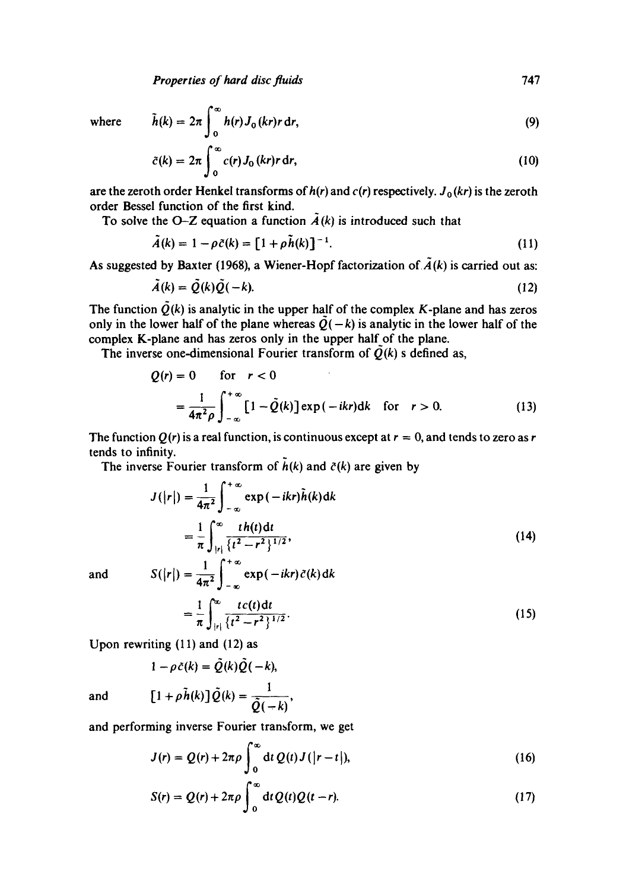*Properties of hard disc fluids* 747

where 
$$
\tilde{h}(k) = 2\pi \int_0^\infty h(r) J_0(kr) r dr,
$$
 (9)

$$
\tilde{c}(k) = 2\pi \int_0^\infty c(r) J_0(kr) r \, dr,\tag{10}
$$

are the zeroth order Henkel transforms of  $h(r)$  and  $c(r)$  respectively.  $J_0(kr)$  is the zeroth order Bessel function of the first kind.

To solve the O-Z equation a function  $\tilde{A}(k)$  is introduced such that

$$
\tilde{A}(k) = 1 - \rho \tilde{c}(k) = [1 + \rho \tilde{h}(k)]^{-1}.
$$
 (11)

As suggested by Baxter (1968), a Wiener-Hopf factorization of  $\tilde{A}(k)$  is carried out as:

$$
\tilde{A}(k) = \tilde{Q}(k)\tilde{Q}(-k). \tag{12}
$$

The function  $\tilde{Q}(k)$  is analytic in the upper half of the complex K-plane and has zeros only in the lower half of the plane whereas  $\tilde{Q}(-k)$  is analytic in the lower half of the complex K-plane and has zeros only in the upper half of the plane.

The inverse one-dimensional Fourier transform of  $\tilde{Q}(k)$  s defined as,

$$
Q(r) = 0 \quad \text{for} \quad r < 0
$$
\n
$$
= \frac{1}{4\pi^2 \rho} \int_{-\infty}^{+\infty} \left[1 - \tilde{Q}(k)\right] \exp\left(-ikr\right) dk \quad \text{for} \quad r > 0. \tag{13}
$$

The function  $Q(r)$  is a real function, is continuous except at  $r = 0$ , and tends to zero as r tends to infinity.

The inverse Fourier transform of  $\tilde{h}(k)$  and  $\tilde{c}(k)$  are given by

$$
J(|r|) = \frac{1}{4\pi^2} \int_{-\infty}^{+\infty} \exp(-ikr)\tilde{h}(k)dk
$$

$$
= \frac{1}{\pi} \int_{|r|}^{\infty} \frac{t h(t) dt}{\{t^2 - r^2\}^{1/2}},
$$
(14)  
and 
$$
S(|r|) = \frac{1}{\sqrt{2}} \int_{-\infty}^{+\infty} \exp(-ikr)\tilde{c}(k) dk
$$

$$
4\pi^{2} \int_{-\infty}^{\infty} t c(t) dt
$$
  
= 
$$
\frac{1}{\pi} \int_{|r|}^{\infty} \frac{t c(t) dt}{\{t^{2} - r^{2}\}^{1/2}}.
$$
 (15)

Upon rewriting (11) and (12) as

$$
1 - \rho \tilde{c}(k) = \tilde{Q}(k)\tilde{Q}(-k),
$$
  
and 
$$
[1 + \rho \tilde{h}(k)]\tilde{Q}(k) = \frac{1}{2\pi\sqrt{2\pi}}
$$

and performing inverse Fourier transform, we get

 $Q(-k)$ 

$$
J(r) = Q(r) + 2\pi \rho \int_0^\infty dt \, Q(t) J(|r - t|), \qquad (16)
$$

$$
S(r) = Q(r) + 2\pi \rho \int_0^\infty dt Q(t)Q(t-r).
$$
 (17)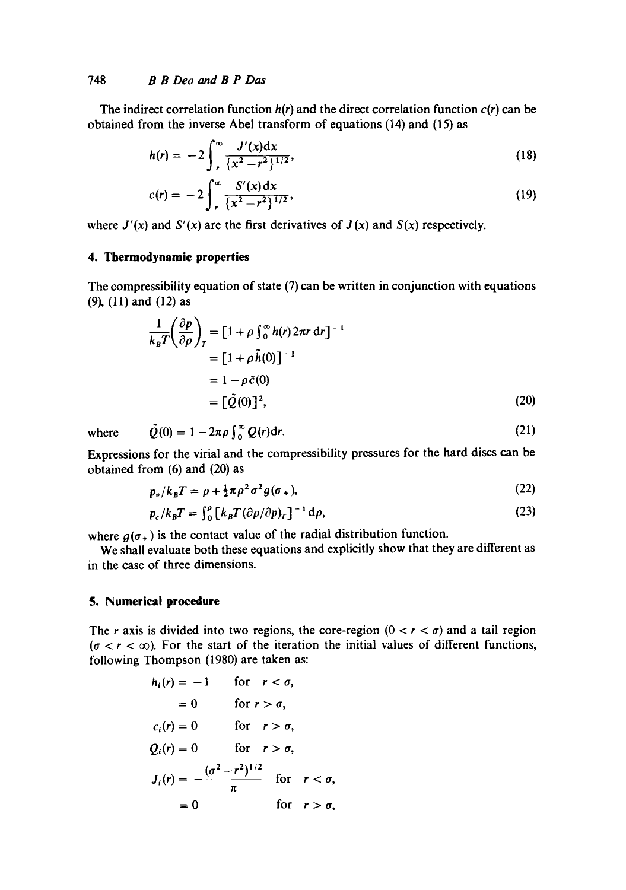## 748 *B B Deo and B P Das*

The indirect correlation function  $h(r)$  and the direct correlation function  $c(r)$  can be obtained from the inverse Abel transform of equations (14) and (15) as

$$
h(r) = -2 \int_{r}^{\infty} \frac{J'(x) dx}{\{x^2 - r^2\}^{1/2}},
$$
\n(18)

$$
c(r) = -2 \int_{r}^{\infty} \frac{S'(x) dx}{\{x^2 - r^2\}^{1/2}},
$$
\n(19)

where  $J'(x)$  and  $S'(x)$  are the first derivatives of  $J(x)$  and  $S(x)$  respectively.

#### **4. Thermodynamic properties**

The compressibility equation of state (7) can be written in conjunction with equations (9), (ll) and (12) as

$$
\frac{1}{k_B T} \left( \frac{\partial p}{\partial \rho} \right)_T = \left[ 1 + \rho \int_0^\infty h(r) 2\pi r \, dr \right]^{-1}
$$

$$
= \left[ 1 + \rho \tilde{h}(0) \right]^{-1}
$$

$$
= 1 - \rho \tilde{c}(0)
$$

$$
= \left[ \tilde{Q}(0) \right]^2,
$$
 (20)

where 
$$
\tilde{Q}(0) = 1 - 2\pi \rho \int_0^\infty Q(r) dr.
$$
 (21)

Expressions for the virial and the compressibility pressures for the hard discs can be obtained from (6) and (20) as

$$
p_v/k_B T = \rho + \frac{1}{2}\pi \rho^2 \sigma^2 g(\sigma_+),\tag{22}
$$

$$
p_c/k_B T = \int_0^{\rho} \left[ k_B T (\partial \rho / \partial p)_T \right]^{-1} d\rho, \tag{23}
$$

where  $g(\sigma_+)$  is the contact value of the radial distribution function.

We shall evaluate both these equations and explicitly show that they are different as in the case of three dimensions.

## **5. Numerical procedure**

The r axis is divided into two regions, the core-region  $(0 < r < \sigma)$  and a tail region  $(\sigma < r < \infty)$ . For the start of the iteration the initial values of different functions, following Thompson (1980) are taken as:

$$
h_i(r) = -1 \quad \text{for } r < \sigma,
$$
  
\n
$$
= 0 \quad \text{for } r > \sigma,
$$
  
\n
$$
c_i(r) = 0 \quad \text{for } r > \sigma,
$$
  
\n
$$
Q_i(r) = 0 \quad \text{for } r > \sigma,
$$
  
\n
$$
J_i(r) = -\frac{(\sigma^2 - r^2)^{1/2}}{\pi} \quad \text{for } r < \sigma,
$$
  
\n
$$
= 0 \quad \text{for } r > \sigma,
$$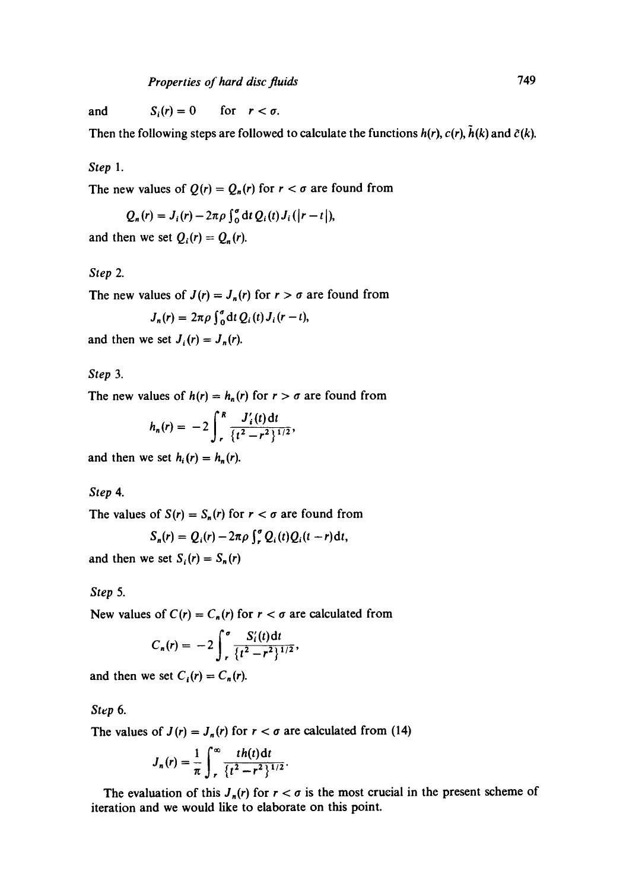and  $S_i(r) = 0$  for  $r < \sigma$ .

Then the following steps are followed to calculate the functions  $h(r)$ ,  $c(r)$ ,  $\tilde{h}(k)$  and  $\tilde{c}(k)$ .

*Step 1.* 

The new values of  $Q(r) = Q_n(r)$  for  $r < \sigma$  are found from

$$
Q_n(r) = J_i(r) - 2\pi \rho \int_0^{\sigma} dt Q_i(t) J_i(|r-t|),
$$

and then we set  $Q_i(r) = Q_n(r)$ .

*Step 2.* 

The new values of  $J(r) = J_n(r)$  for  $r > \sigma$  are found from

$$
J_n(r) = 2\pi \rho \int_0^r dt Q_i(t) J_i(r-t),
$$

and then we set  $J_i(r) = J_n(r)$ .

*Step 3.* 

The new values of  $h(r) = h_n(r)$  for  $r > \sigma$  are found from

$$
h_n(r) = -2 \int_r^R \frac{J'_i(t) dt}{\{t^2 - r^2\}^{1/2}},
$$

and then we set  $h_i(r) = h_n(r)$ .

*Step 4.* 

The values of  $S(r) = S_n(r)$  for  $r < \sigma$  are found from

$$
S_n(r) = Q_i(r) - 2\pi \rho \int_r^{\sigma} Q_i(t) Q_i(t-r) dt,
$$

and then we set  $S_i(r) = S_n(r)$ 

*Step 5.* 

New values of  $C(r) = C_n(r)$  for  $r < \sigma$  are calculated from

$$
C_n(r) = -2 \int_r^{\sigma} \frac{S_i'(t) dt}{\{t^2 - r^2\}^{1/2}},
$$

and then we set  $C_i(r) = C_n(r)$ .

*Step 6.* 

The values of  $J(r) = J_n(r)$  for  $r < \sigma$  are calculated from (14)

$$
J_n(r) = \frac{1}{\pi} \int_{r}^{\infty} \frac{th(t) dt}{\{t^2 - r^2\}^{1/2}}.
$$

The evaluation of this  $J_n(r)$  for  $r < \sigma$  is the most crucial in the present scheme of iteration and we would like to elaborate on this point.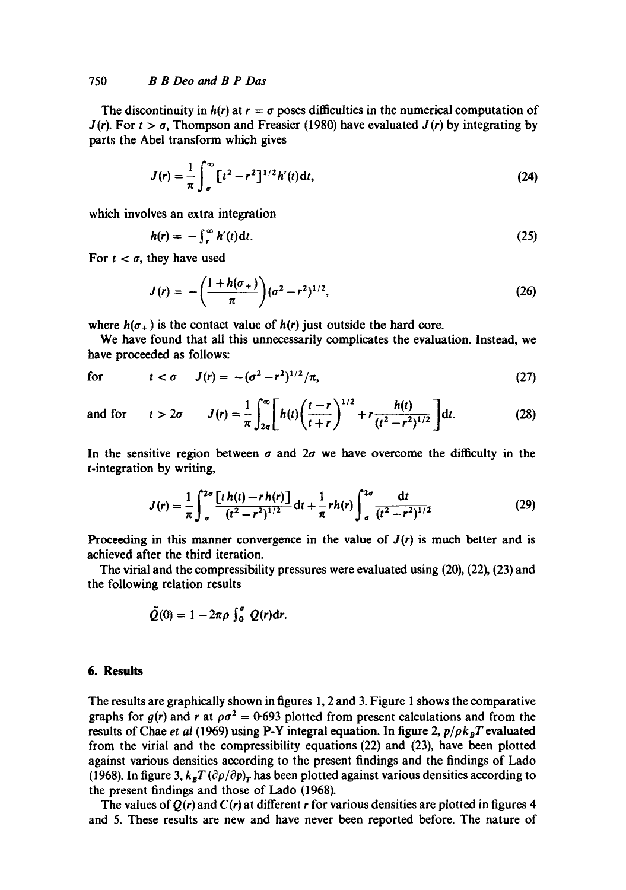#### 750 *B B Deo and B P Das*

The discontinuity in  $h(r)$  at  $r = \sigma$  poses difficulties in the numerical computation of  $J(r)$ . For  $t > \sigma$ , Thompson and Freasier (1980) have evaluated  $J(r)$  by integrating by parts the Abel transform which gives

$$
J(r) = \frac{1}{\pi} \int_{\sigma}^{\infty} \left[ t^2 - r^2 \right]^{1/2} h'(t) \, \mathrm{d}t,\tag{24}
$$

which involves an extra integration

 $\sim$ 

$$
h(r) = -\int_{r}^{\infty} h'(t) \, \mathrm{d}t. \tag{25}
$$

For  $t < \sigma$ , they have used

$$
J(r) = -\left(\frac{1+h(\sigma_+)}{\pi}\right)(\sigma^2 - r^2)^{1/2},\tag{26}
$$

where  $h(\sigma_+)$  is the contact value of  $h(r)$  just outside the hard core.

We have found that all this unnecessarily complicates the evaluation. Instead, we have proceeded as follows:

for 
$$
t < \sigma
$$
  $J(r) = -(\sigma^2 - r^2)^{1/2}/\pi,$  (27)

and for 
$$
t > 2\sigma
$$
  $J(r) = \frac{1}{\pi} \int_{2\sigma}^{\infty} \left[ h(t) \left( \frac{t-r}{t+r} \right)^{1/2} + r \frac{h(t)}{(t^2 - r^2)^{1/2}} \right] dt.$  (28)

In the sensitive region between  $\sigma$  and  $2\sigma$  we have overcome the difficulty in the t-integration by writing,

$$
J(r) = \frac{1}{\pi} \int_{\sigma}^{2\sigma} \frac{[t\,h(t) - r\,h(r)]}{(t^2 - r^2)^{1/2}} dt + \frac{1}{\pi} r h(r) \int_{\sigma}^{2\sigma} \frac{dt}{(t^2 - r^2)^{1/2}} \tag{29}
$$

Proceeding in this manner convergence in the value of *J(r)* is much better and is achieved after the third iteration.

The virial and the compressibility pressures were evaluated using (20), (22), (23) and the following relation results

$$
\tilde{Q}(0) = 1 - 2\pi \rho \int_0^{\sigma} Q(r) dr.
$$

#### **6. Results**

The results are graphically shown in figures 1, 2 and 3. Figure 1 shows the comparative graphs for  $g(r)$  and r at  $\rho \sigma^2 = 0.693$  plotted from present calculations and from the results of Chae *et al* (1969) using P-Y integral equation. In figure 2,  $p/\rho k_B T$  evaluated from the virial and the compressibility equations (22) and (23), have been plotted against various densities according to the present findings and the findings of Lado (1968). In figure 3,  $k_B T (\partial \rho/\partial p)_T$  has been plotted against various densities according to the present findings and those of Lado (1968).

The values of  $Q(r)$  and  $C(r)$  at different r for various densities are plotted in figures 4 and 5. These results are new and have never been reported before. The nature of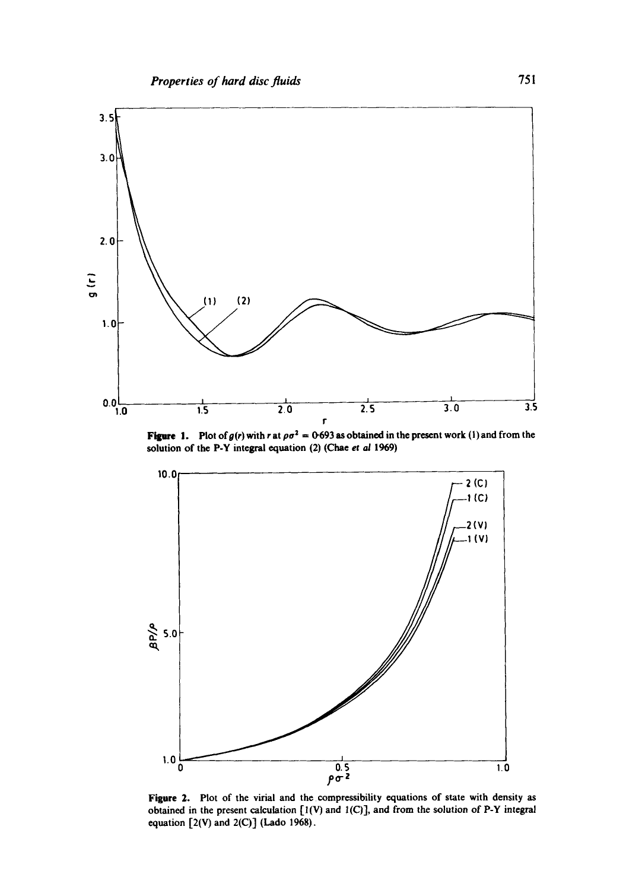

**Figure 1.** Plot of  $g(r)$  with r at  $\rho \sigma^2 = 0.693$  as obtained in the present work (1) and from the solution of the P-Y integral equation (2) (Chae *et aJ* 1969)



Figure 2. Plot of the virial and the compressibility equations of state with density as obtained in the present calculation  $[1(V)$  and  $1(C)$ ], and from the solution of P-Y integral equation  $[2(V)$  and  $2(C)$ ] (Lado 1968).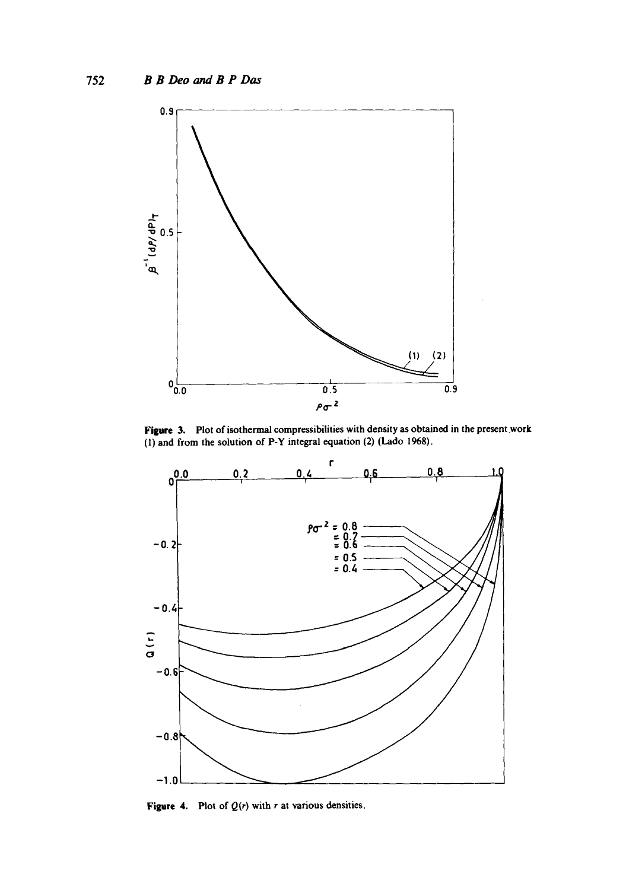

**Figure 3.** Plot of isothermal compressibilities with density as obtained in the present work (1) and from the solution of P-Y integral equation (2) (Lado 1968).



Figure 4. Plot of  $Q(r)$  with r at various densities.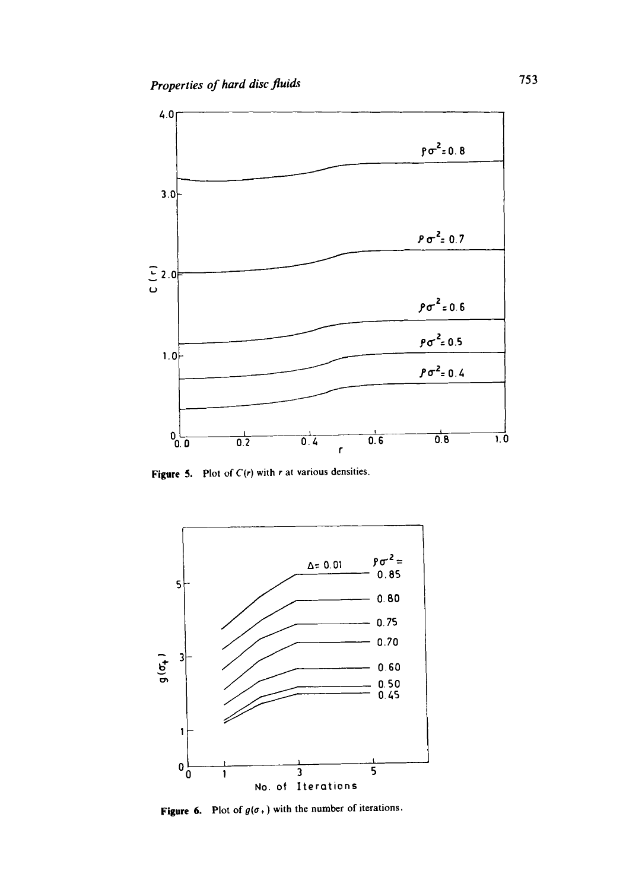

Figure 5. Plot of  $C(r)$  with r at various densities.



Figure 6. Plot of  $g(\sigma_+)$  with the number of iterations.